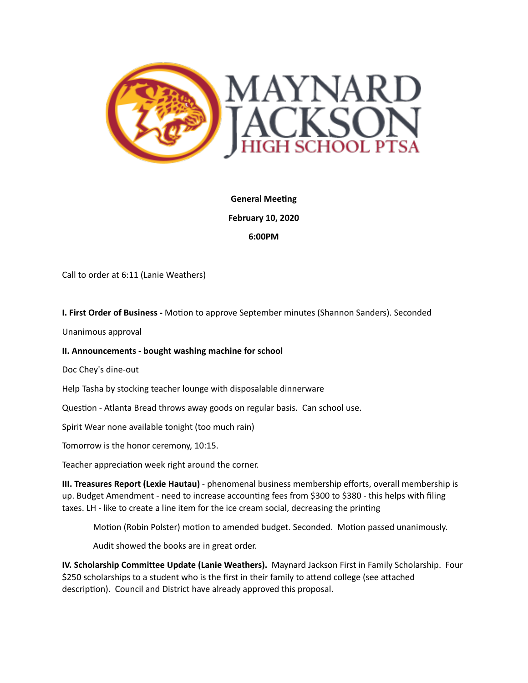

**General Meeting February 10, 2020 6:00PM** 

Call to order at 6:11 (Lanie Weathers)

**I. First Order of Business -** Motion to approve September minutes (Shannon Sanders). Seconded

Unanimous approval 

## **II. Announcements - bought washing machine for school**

Doc Chey's dine-out

Help Tasha by stocking teacher lounge with disposalable dinnerware

Question - Atlanta Bread throws away goods on regular basis. Can school use.

Spirit Wear none available tonight (too much rain)

Tomorrow is the honor ceremony, 10:15.

Teacher appreciation week right around the corner.

**III. Treasures Report (Lexie Hautau)** - phenomenal business membership efforts, overall membership is up. Budget Amendment - need to increase accounting fees from \$300 to \$380 - this helps with filing taxes. LH - like to create a line item for the ice cream social, decreasing the printing

Motion (Robin Polster) motion to amended budget. Seconded. Motion passed unanimously.

Audit showed the books are in great order.

**IV. Scholarship Committee Update (Lanie Weathers).** Maynard Jackson First in Family Scholarship. Four \$250 scholarships to a student who is the first in their family to attend college (see attached description). Council and District have already approved this proposal.